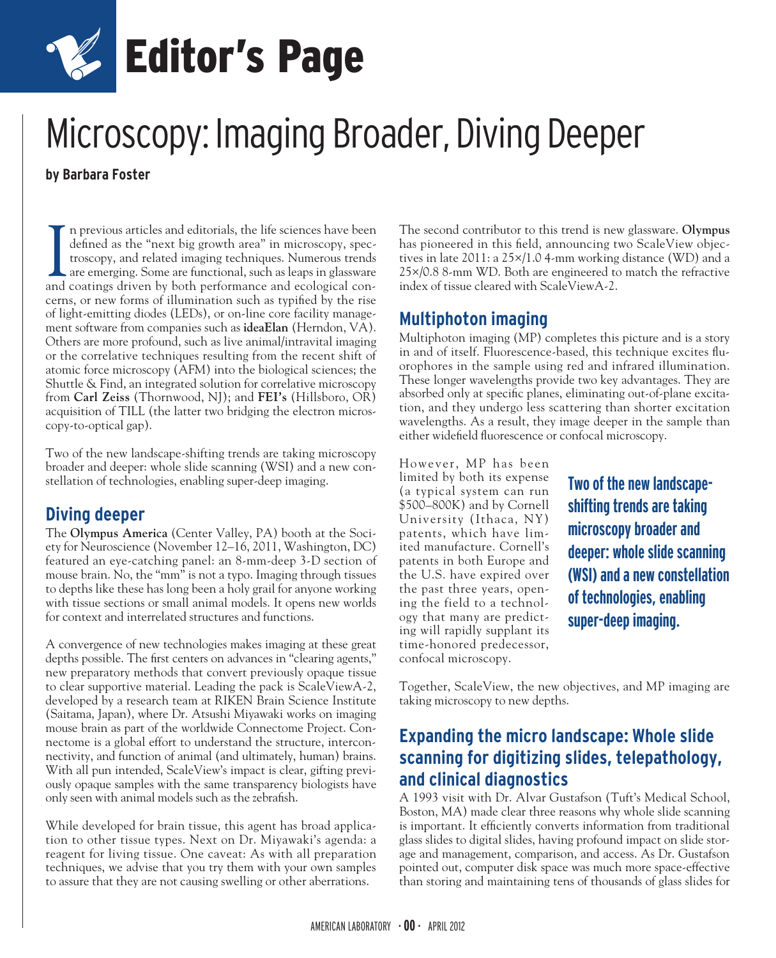

## Microscopy: Imaging Broader, Diving Deeper

**by Barbara Foster**

In previous articles and editorials, the life sciences have been defined as the "next big growth area" in microscopy, spectroscopy, and related imaging techniques. Numerous trends are emerging. Some are functional, such as n previous articles and editorials, the life sciences have been defined as the "next big growth area" in microscopy, spectroscopy, and related imaging techniques. Numerous trends are emerging. Some are functional, such as leaps in glassware cerns, or new forms of illumination such as typified by the rise of light-emitting diodes (LEDs), or on-line core facility management software from companies such as **ideaElan** (Herndon, VA). Others are more profound, such as live animal/intravital imaging or the correlative techniques resulting from the recent shift of atomic force microscopy (AFM) into the biological sciences; the Shuttle & Find, an integrated solution for correlative microscopy from **Carl Zeiss** (Thornwood, NJ); and **FEI's** (Hillsboro, OR) acquisition of TILL (the latter two bridging the electron microscopy-to-optical gap).

Two of the new landscape-shifting trends are taking microscopy broader and deeper: whole slide scanning (WSI) and a new constellation of technologies, enabling super-deep imaging.

## **Diving deeper**

The **Olympus America** (Center Valley, PA) booth at the Society for Neuroscience (November 12–16, 2011, Washington, DC) featured an eye-catching panel: an 8-mm-deep 3-D section of mouse brain. No, the "mm" is not a typo. Imaging through tissues to depths like these has long been a holy grail for anyone working with tissue sections or small animal models. It opens new worlds for context and interrelated structures and functions.

A convergence of new technologies makes imaging at these great depths possible. The first centers on advances in "clearing agents," new preparatory methods that convert previously opaque tissue to clear supportive material. Leading the pack is ScaleViewA-2, developed by a research team at RIKEN Brain Science Institute (Saitama, Japan), where Dr. Atsushi Miyawaki works on imaging mouse brain as part of the worldwide Connectome Project. Connectome is a global effort to understand the structure, interconnectivity, and function of animal (and ultimately, human) brains. With all pun intended, ScaleView's impact is clear, gifting previously opaque samples with the same transparency biologists have only seen with animal models such as the zebrafish.

While developed for brain tissue, this agent has broad application to other tissue types. Next on Dr. Miyawaki's agenda: a reagent for living tissue. One caveat: As with all preparation techniques, we advise that you try them with your own samples to assure that they are not causing swelling or other aberrations.

The second contributor to this trend is new glassware. **Olympus** has pioneered in this field, announcing two ScaleView objectives in late 2011: a 25×/1.0 4-mm working distance (WD) and a 25×/0.8 8-mm WD. Both are engineered to match the refractive index of tissue cleared with ScaleViewA-2.

## **Multiphoton imaging**

Multiphoton imaging (MP) completes this picture and is a story in and of itself. Fluorescence-based, this technique excites fluorophores in the sample using red and infrared illumination. These longer wavelengths provide two key advantages. They are absorbed only at specific planes, eliminating out-of-plane excitation, and they undergo less scattering than shorter excitation wavelengths. As a result, they image deeper in the sample than either widefield fluorescence or confocal microscopy.

However, MP has been limited by both its expense (a typical system can run \$500–800K) and by Cornell University (Ithaca, NY) patents, which have limited manufacture. Cornell's patents in both Europe and the U.S. have expired over the past three years, opening the field to a technology that many are predicting will rapidly supplant its time-honored predecessor, confocal microscopy.

**Two of the new landscapeshifting trends are taking microscopy broader and deeper: whole slide scanning (WSI) and a new constellation of technologies, enabling super-deep imaging.**

Together, ScaleView, the new objectives, and MP imaging are taking microscopy to new depths.

## **Expanding the micro landscape: Whole slide scanning for digitizing slides, telepathology, and clinical diagnostics**

A 1993 visit with Dr. Alvar Gustafson (Tuft's Medical School, Boston, MA) made clear three reasons why whole slide scanning is important. It efficiently converts information from traditional glass slides to digital slides, having profound impact on slide storage and management, comparison, and access. As Dr. Gustafson pointed out, computer disk space was much more space-effective than storing and maintaining tens of thousands of glass slides for